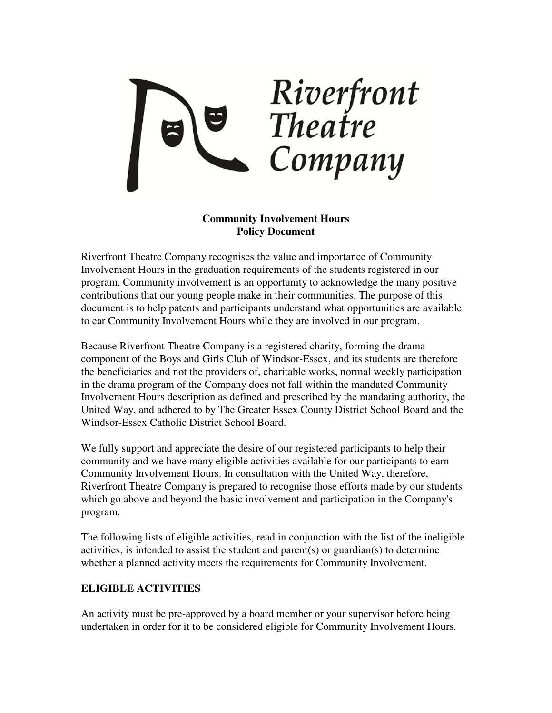

## **Community Involvement Hours Policy Document**

Riverfront Theatre Company recognises the value and importance of Community Involvement Hours in the graduation requirements of the students registered in our program. Community involvement is an opportunity to acknowledge the many positive contributions that our young people make in their communities. The purpose of this document is to help patents and participants understand what opportunities are available to ear Community Involvement Hours while they are involved in our program.

Because Riverfront Theatre Company is a registered charity, forming the drama component of the Boys and Girls Club of Windsor-Essex, and its students are therefore the beneficiaries and not the providers of, charitable works, normal weekly participation in the drama program of the Company does not fall within the mandated Community Involvement Hours description as defined and prescribed by the mandating authority, the United Way, and adhered to by The Greater Essex County District School Board and the Windsor-Essex Catholic District School Board.

We fully support and appreciate the desire of our registered participants to help their community and we have many eligible activities available for our participants to earn Community Involvement Hours. In consultation with the United Way, therefore, Riverfront Theatre Company is prepared to recognise those efforts made by our students which go above and beyond the basic involvement and participation in the Company's program.

The following lists of eligible activities, read in conjunction with the list of the ineligible activities, is intended to assist the student and parent(s) or guardian(s) to determine whether a planned activity meets the requirements for Community Involvement.

## **ELIGIBLE ACTIVITIES**

An activity must be pre-approved by a board member or your supervisor before being undertaken in order for it to be considered eligible for Community Involvement Hours.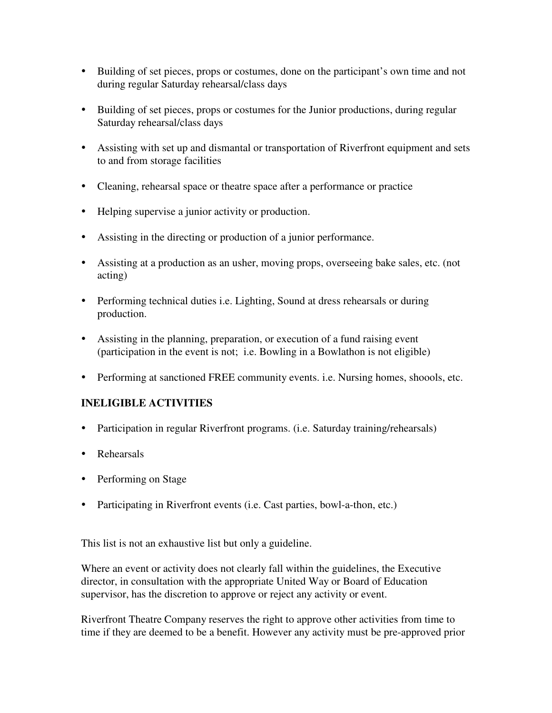- Building of set pieces, props or costumes, done on the participant's own time and not during regular Saturday rehearsal/class days
- Building of set pieces, props or costumes for the Junior productions, during regular Saturday rehearsal/class days
- Assisting with set up and dismantal or transportation of Riverfront equipment and sets to and from storage facilities
- Cleaning, rehearsal space or theatre space after a performance or practice
- Helping supervise a junior activity or production.
- Assisting in the directing or production of a junior performance.
- Assisting at a production as an usher, moving props, overseeing bake sales, etc. (not acting)
- Performing technical duties i.e. Lighting, Sound at dress rehearsals or during production.
- Assisting in the planning, preparation, or execution of a fund raising event (participation in the event is not; i.e. Bowling in a Bowlathon is not eligible)
- Performing at sanctioned FREE community events. i.e. Nursing homes, shoools, etc.

## **INELIGIBLE ACTIVITIES**

- Participation in regular Riverfront programs. (i.e. Saturday training/rehearsals)
- Rehearsals
- Performing on Stage
- Participating in Riverfront events (i.e. Cast parties, bowl-a-thon, etc.)

This list is not an exhaustive list but only a guideline.

Where an event or activity does not clearly fall within the guidelines, the Executive director, in consultation with the appropriate United Way or Board of Education supervisor, has the discretion to approve or reject any activity or event.

Riverfront Theatre Company reserves the right to approve other activities from time to time if they are deemed to be a benefit. However any activity must be pre-approved prior